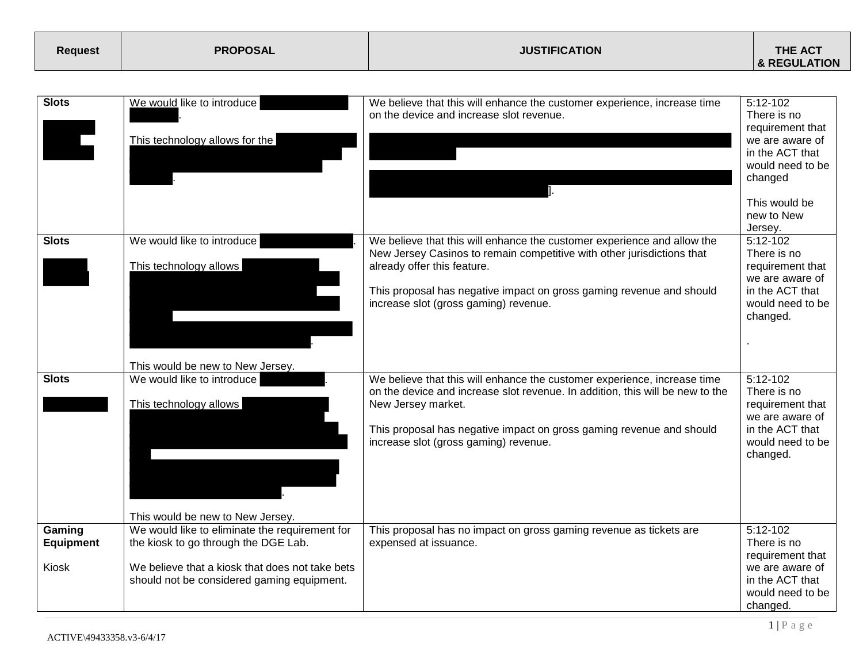| <b>Request</b> | <b>PROPOSAL</b> | <b>JUSTIFICATION</b> | <b>THE ACT</b>          |
|----------------|-----------------|----------------------|-------------------------|
|                |                 |                      | <b>&amp; REGULATION</b> |

| <b>Slots</b>                        | We would like to introduce<br>This technology allows for the                                                                                                                            | We believe that this will enhance the customer experience, increase time<br>on the device and increase slot revenue.                                                                                                                                                                              | $5:12-102$<br>There is no<br>requirement that<br>we are aware of<br>in the ACT that<br>would need to be<br>changed<br>This would be<br>new to New<br>Jersey. |
|-------------------------------------|-----------------------------------------------------------------------------------------------------------------------------------------------------------------------------------------|---------------------------------------------------------------------------------------------------------------------------------------------------------------------------------------------------------------------------------------------------------------------------------------------------|--------------------------------------------------------------------------------------------------------------------------------------------------------------|
| <b>Slots</b>                        | We would like to introduce<br>This technology allows<br>This would be new to New Jersey.                                                                                                | We believe that this will enhance the customer experience and allow the<br>New Jersey Casinos to remain competitive with other jurisdictions that<br>already offer this feature.<br>This proposal has negative impact on gross gaming revenue and should<br>increase slot (gross gaming) revenue. | $5:12-102$<br>There is no<br>requirement that<br>we are aware of<br>in the ACT that<br>would need to be<br>changed.                                          |
| <b>Slots</b>                        | We would like to introduce<br>This technology allows<br>This would be new to New Jersey.                                                                                                | We believe that this will enhance the customer experience, increase time<br>on the device and increase slot revenue. In addition, this will be new to the<br>New Jersey market.<br>This proposal has negative impact on gross gaming revenue and should<br>increase slot (gross gaming) revenue.  | 5:12-102<br>There is no<br>requirement that<br>we are aware of<br>in the ACT that<br>would need to be<br>changed.                                            |
| Gaming<br><b>Equipment</b><br>Kiosk | We would like to eliminate the requirement for<br>the kiosk to go through the DGE Lab.<br>We believe that a kiosk that does not take bets<br>should not be considered gaming equipment. | This proposal has no impact on gross gaming revenue as tickets are<br>expensed at issuance.                                                                                                                                                                                                       | $5:12-102$<br>There is no<br>requirement that<br>we are aware of<br>in the ACT that<br>would need to be<br>changed.                                          |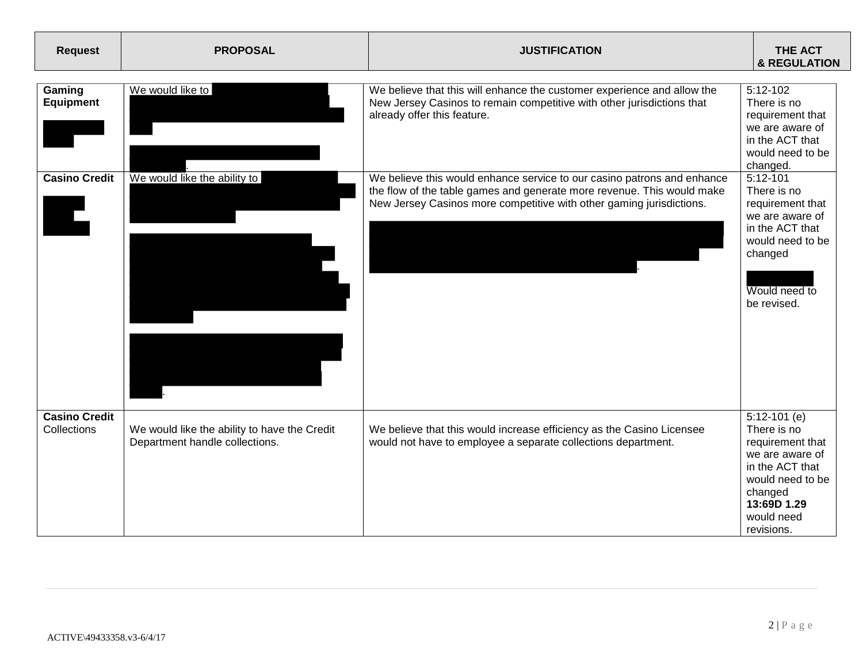| <b>Request</b>                      | <b>PROPOSAL</b>                                                                | <b>JUSTIFICATION</b>                                                                                                                                                                                                      | <b>THE ACT</b><br><b>&amp; REGULATION</b>                                                                                                                         |
|-------------------------------------|--------------------------------------------------------------------------------|---------------------------------------------------------------------------------------------------------------------------------------------------------------------------------------------------------------------------|-------------------------------------------------------------------------------------------------------------------------------------------------------------------|
| Gaming<br><b>Equipment</b>          | We would like to                                                               | We believe that this will enhance the customer experience and allow the<br>New Jersey Casinos to remain competitive with other jurisdictions that<br>already offer this feature.                                          | 5:12-102<br>There is no<br>requirement that<br>we are aware of<br>in the ACT that<br>would need to be<br>changed.                                                 |
| <b>Casino Credit</b>                | We would like the ability to                                                   | We believe this would enhance service to our casino patrons and enhance<br>the flow of the table games and generate more revenue. This would make<br>New Jersey Casinos more competitive with other gaming jurisdictions. | 5:12-101<br>There is no<br>requirement that<br>we are aware of<br>in the ACT that<br>would need to be<br>changed<br>Would need to<br>be revised.                  |
| <b>Casino Credit</b><br>Collections | We would like the ability to have the Credit<br>Department handle collections. | We believe that this would increase efficiency as the Casino Licensee<br>would not have to employee a separate collections department.                                                                                    | $5:12-101$ (e)<br>There is no<br>requirement that<br>we are aware of<br>in the ACT that<br>would need to be<br>changed<br>13:69D 1.29<br>would need<br>revisions. |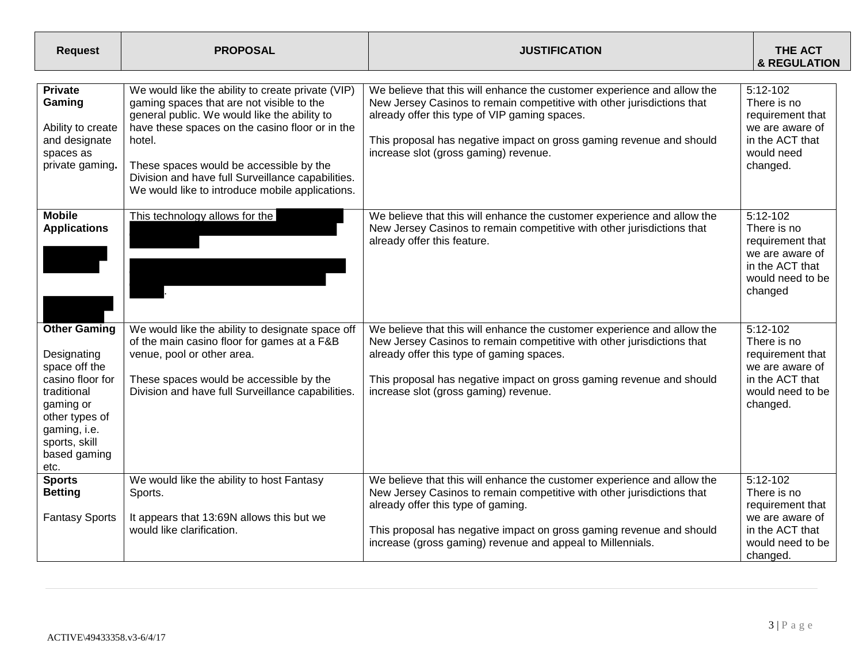| <b>Request</b>                                                                                                                                                                 | <b>PROPOSAL</b>                                                                                                                                                                                                                                                                                                                                                | <b>JUSTIFICATION</b>                                                                                                                                                                                                                                                                                                          | <b>THE ACT</b><br><b>&amp; REGULATION</b>                                                                           |
|--------------------------------------------------------------------------------------------------------------------------------------------------------------------------------|----------------------------------------------------------------------------------------------------------------------------------------------------------------------------------------------------------------------------------------------------------------------------------------------------------------------------------------------------------------|-------------------------------------------------------------------------------------------------------------------------------------------------------------------------------------------------------------------------------------------------------------------------------------------------------------------------------|---------------------------------------------------------------------------------------------------------------------|
| <b>Private</b><br>Gaming<br>Ability to create<br>and designate<br>spaces as<br>private gaming.                                                                                 | We would like the ability to create private (VIP)<br>gaming spaces that are not visible to the<br>general public. We would like the ability to<br>have these spaces on the casino floor or in the<br>hotel.<br>These spaces would be accessible by the<br>Division and have full Surveillance capabilities.<br>We would like to introduce mobile applications. | We believe that this will enhance the customer experience and allow the<br>New Jersey Casinos to remain competitive with other jurisdictions that<br>already offer this type of VIP gaming spaces.<br>This proposal has negative impact on gross gaming revenue and should<br>increase slot (gross gaming) revenue.           | 5:12-102<br>There is no<br>requirement that<br>we are aware of<br>in the ACT that<br>would need<br>changed.         |
| <b>Mobile</b><br><b>Applications</b>                                                                                                                                           | This technology allows for the                                                                                                                                                                                                                                                                                                                                 | We believe that this will enhance the customer experience and allow the<br>New Jersey Casinos to remain competitive with other jurisdictions that<br>already offer this feature.                                                                                                                                              | $5:12-102$<br>There is no<br>requirement that<br>we are aware of<br>in the ACT that<br>would need to be<br>changed  |
| <b>Other Gaming</b><br>Designating<br>space off the<br>casino floor for<br>traditional<br>gaming or<br>other types of<br>gaming, i.e.<br>sports, skill<br>based gaming<br>etc. | We would like the ability to designate space off<br>of the main casino floor for games at a F&B<br>venue, pool or other area.<br>These spaces would be accessible by the<br>Division and have full Surveillance capabilities.                                                                                                                                  | We believe that this will enhance the customer experience and allow the<br>New Jersey Casinos to remain competitive with other jurisdictions that<br>already offer this type of gaming spaces.<br>This proposal has negative impact on gross gaming revenue and should<br>increase slot (gross gaming) revenue.               | 5:12-102<br>There is no<br>requirement that<br>we are aware of<br>in the ACT that<br>would need to be<br>changed.   |
| <b>Sports</b><br><b>Betting</b><br><b>Fantasy Sports</b>                                                                                                                       | We would like the ability to host Fantasy<br>Sports.<br>It appears that 13:69N allows this but we<br>would like clarification.                                                                                                                                                                                                                                 | We believe that this will enhance the customer experience and allow the<br>New Jersey Casinos to remain competitive with other jurisdictions that<br>already offer this type of gaming.<br>This proposal has negative impact on gross gaming revenue and should<br>increase (gross gaming) revenue and appeal to Millennials. | $5:12-102$<br>There is no<br>requirement that<br>we are aware of<br>in the ACT that<br>would need to be<br>changed. |